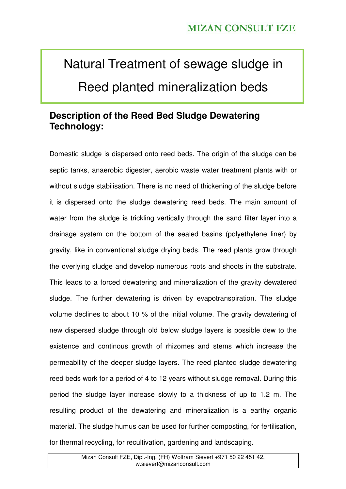# Natural Treatment of sewage sludge in Reed planted mineralization beds

### **Description of the Reed Bed Sludge Dewatering Technology:**

Domestic sludge is dispersed onto reed beds. The origin of the sludge can be septic tanks, anaerobic digester, aerobic waste water treatment plants with or without sludge stabilisation. There is no need of thickening of the sludge before it is dispersed onto the sludge dewatering reed beds. The main amount of water from the sludge is trickling vertically through the sand filter layer into a drainage system on the bottom of the sealed basins (polyethylene liner) by gravity, like in conventional sludge drying beds. The reed plants grow through the overlying sludge and develop numerous roots and shoots in the substrate. This leads to a forced dewatering and mineralization of the gravity dewatered sludge. The further dewatering is driven by evapotranspiration. The sludge volume declines to about 10 % of the initial volume. The gravity dewatering of new dispersed sludge through old below sludge layers is possible dew to the existence and continous growth of rhizomes and stems which increase the permeability of the deeper sludge layers. The reed planted sludge dewatering reed beds work for a period of 4 to 12 years without sludge removal. During this period the sludge layer increase slowly to a thickness of up to 1.2 m. The resulting product of the dewatering and mineralization is a earthy organic material. The sludge humus can be used for further composting, for fertilisation, for thermal recycling, for recultivation, gardening and landscaping.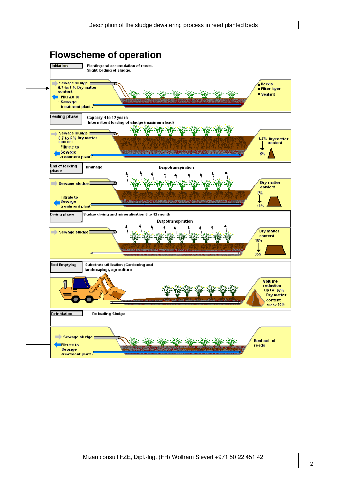| Description of the sludge dewatering process in reed planted beds |  |  |  |
|-------------------------------------------------------------------|--|--|--|
|                                                                   |  |  |  |

# **Flowscheme of operation**

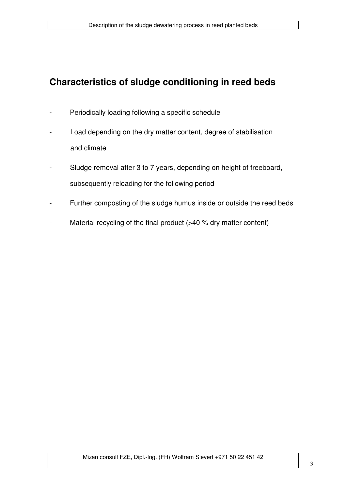# **Characteristics of sludge conditioning in reed beds**

- Periodically loading following a specific schedule
- Load depending on the dry matter content, degree of stabilisation and climate
- Sludge removal after 3 to 7 years, depending on height of freeboard, subsequently reloading for the following period
- Further composting of the sludge humus inside or outside the reed beds
- Material recycling of the final product  $(>40 %$  dry matter content)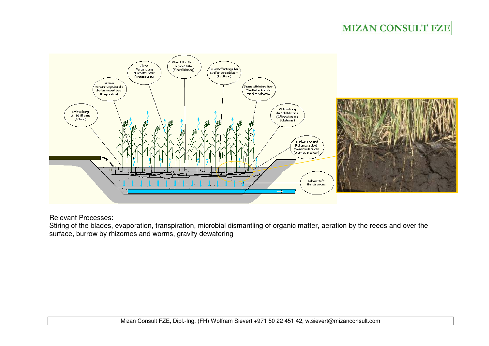# **MIZAN CONSULT FZE**



Relevant Processes:

 Stiring of the blades, evaporation, transpiration, microbial dismantling of organic matter, aeration by the reeds and over the surface, burrow by rhizomes and worms, gravity dewatering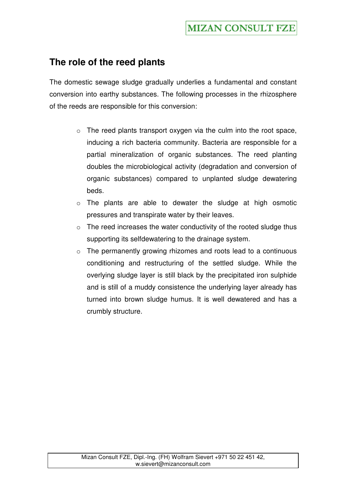#### **The role of the reed plants**

The domestic sewage sludge gradually underlies a fundamental and constant conversion into earthy substances. The following processes in the rhizosphere of the reeds are responsible for this conversion:

- $\circ$  The reed plants transport oxygen via the culm into the root space, inducing a rich bacteria community. Bacteria are responsible for a partial mineralization of organic substances. The reed planting doubles the microbiological activity (degradation and conversion of organic substances) compared to unplanted sludge dewatering beds.
- o The plants are able to dewater the sludge at high osmotic pressures and transpirate water by their leaves.
- $\circ$  The reed increases the water conductivity of the rooted sludge thus supporting its selfdewatering to the drainage system.
- o The permanently growing rhizomes and roots lead to a continuous conditioning and restructuring of the settled sludge. While the overlying sludge layer is still black by the precipitated iron sulphide and is still of a muddy consistence the underlying layer already has turned into brown sludge humus. It is well dewatered and has a crumbly structure.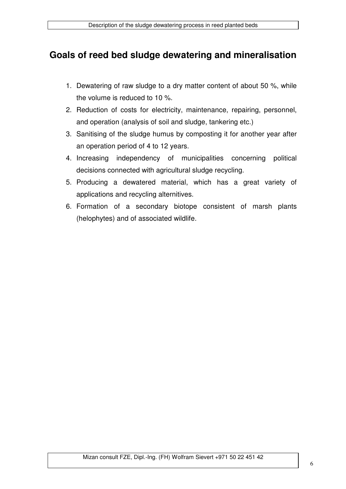#### **Goals of reed bed sludge dewatering and mineralisation**

- 1. Dewatering of raw sludge to a dry matter content of about 50 %, while the volume is reduced to 10 %.
- 2. Reduction of costs for electricity, maintenance, repairing, personnel, and operation (analysis of soil and sludge, tankering etc.)
- 3. Sanitising of the sludge humus by composting it for another year after an operation period of 4 to 12 years.
- 4. Increasing independency of municipalities concerning political decisions connected with agricultural sludge recycling.
- 5. Producing a dewatered material, which has a great variety of applications and recycling alternitives.
- 6. Formation of a secondary biotope consistent of marsh plants (helophytes) and of associated wildlife.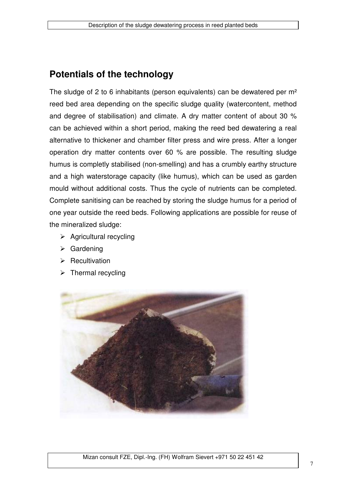#### **Potentials of the technology**

The sludge of 2 to 6 inhabitants (person equivalents) can be dewatered per m² reed bed area depending on the specific sludge quality (watercontent, method and degree of stabilisation) and climate. A dry matter content of about 30 % can be achieved within a short period, making the reed bed dewatering a real alternative to thickener and chamber filter press and wire press. After a longer operation dry matter contents over 60 % are possible. The resulting sludge humus is completly stabilised (non-smelling) and has a crumbly earthy structure and a high waterstorage capacity (like humus), which can be used as garden mould without additional costs. Thus the cycle of nutrients can be completed. Complete sanitising can be reached by storing the sludge humus for a period of one year outside the reed beds. Following applications are possible for reuse of the mineralized sludge:

- $\triangleright$  Agricultural recycling
- $\triangleright$  Gardening
- $\triangleright$  Recultivation
- $\triangleright$  Thermal recycling

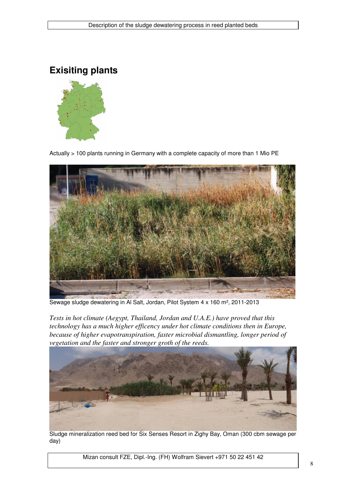**Exisiting plants** 



Actually > 100 plants running in Germany with a complete capacity of more than 1 Mio PE



Sewage sludge dewatering in Al Salt, Jordan, Pilot System 4 x 160 m², 2011-2013

*Tests in hot climate (Aegypt, Thailand, Jordan and U.A.E.) have proved that this technology has a much higher efficency under hot climate conditions then in Europe, because of higher evapotranspiration, faster microbial dismantling, longer period of vegetation and the faster and stronger groth of the reeds.* 



Sludge mineralization reed bed for Six Senses Resort in Zighy Bay, Oman (300 cbm sewage per day)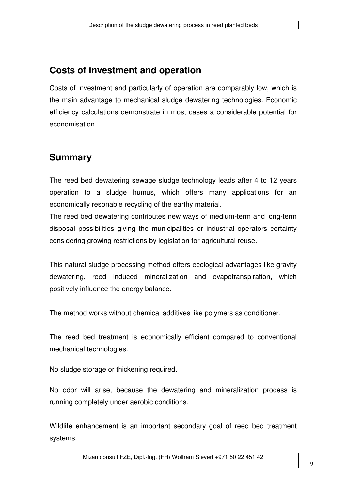# **Costs of investment and operation**

Costs of investment and particularly of operation are comparably low, which is the main advantage to mechanical sludge dewatering technologies. Economic efficiency calculations demonstrate in most cases a considerable potential for economisation.

## **Summary**

The reed bed dewatering sewage sludge technology leads after 4 to 12 years operation to a sludge humus, which offers many applications for an economically resonable recycling of the earthy material.

The reed bed dewatering contributes new ways of medium-term and long-term disposal possibilities giving the municipalities or industrial operators certainty considering growing restrictions by legislation for agricultural reuse.

This natural sludge processing method offers ecological advantages like gravity dewatering, reed induced mineralization and evapotranspiration, which positively influence the energy balance.

The method works without chemical additives like polymers as conditioner.

The reed bed treatment is economically efficient compared to conventional mechanical technologies.

No sludge storage or thickening required.

No odor will arise, because the dewatering and mineralization process is running completely under aerobic conditions.

Wildlife enhancement is an important secondary goal of reed bed treatment systems.